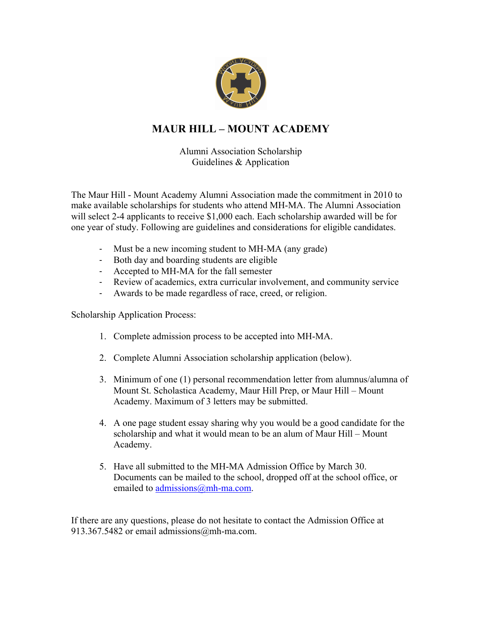

## **MAUR HILL – MOUNT ACADEMY**

Alumni Association Scholarship Guidelines & Application

The Maur Hill - Mount Academy Alumni Association made the commitment in 2010 to make available scholarships for students who attend MH-MA. The Alumni Association will select 2-4 applicants to receive \$1,000 each. Each scholarship awarded will be for one year of study. Following are guidelines and considerations for eligible candidates.

- Must be a new incoming student to MH-MA (any grade)
- Both day and boarding students are eligible
- Accepted to MH-MA for the fall semester
- Review of academics, extra curricular involvement, and community service
- Awards to be made regardless of race, creed, or religion.

Scholarship Application Process:

- 1. Complete admission process to be accepted into MH-MA.
- 2. Complete Alumni Association scholarship application (below).
- 3. Minimum of one (1) personal recommendation letter from alumnus/alumna of Mount St. Scholastica Academy, Maur Hill Prep, or Maur Hill – Mount Academy. Maximum of 3 letters may be submitted.
- 4. A one page student essay sharing why you would be a good candidate for the scholarship and what it would mean to be an alum of Maur Hill – Mount Academy.
- 5. Have all submitted to the MH-MA Admission Office by March 30. Documents can be mailed to the school, dropped off at the school office, or emailed to *admissions@mh-ma.com.*

If there are any questions, please do not hesitate to contact the Admission Office at 913.367.5482 or email admissions@mh-ma.com.